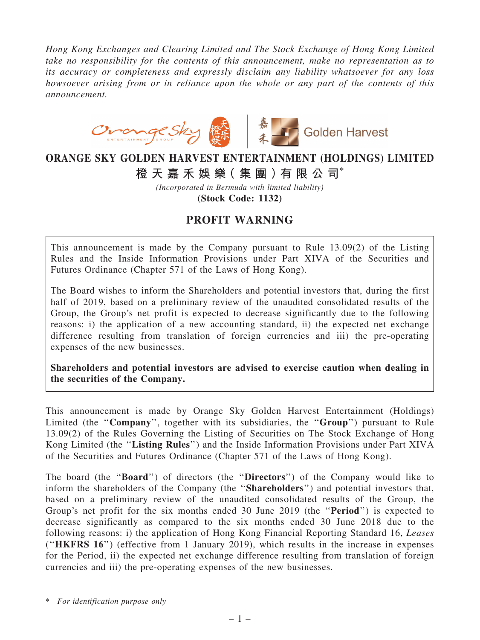*Hong Kong Exchanges and Clearing Limited and The Stock Exchange of Hong Kong Limited take no responsibility for the contents of this announcement, make no representation as to its accuracy or completeness and expressly disclaim any liability whatsoever for any loss howsoever arising from or in reliance upon the whole or any part of the contents of this announcement.*



## ORANGE SKY GOLDEN HARVEST ENTERTAINMENT (HOLDINGS) LIMITED

橙 天 嘉 禾 娛 樂 (集 團 ) 有 限 公 司 $^*$ 

*(Incorporated in Bermuda with limited liability)* (Stock Code: 1132)

## PROFIT WARNING

This announcement is made by the Company pursuant to Rule 13.09(2) of the Listing Rules and the Inside Information Provisions under Part XIVA of the Securities and Futures Ordinance (Chapter 571 of the Laws of Hong Kong).

The Board wishes to inform the Shareholders and potential investors that, during the first half of 2019, based on a preliminary review of the unaudited consolidated results of the Group, the Group's net profit is expected to decrease significantly due to the following reasons: i) the application of a new accounting standard, ii) the expected net exchange difference resulting from translation of foreign currencies and iii) the pre-operating expenses of the new businesses.

Shareholders and potential investors are advised to exercise caution when dealing in the securities of the Company.

This announcement is made by Orange Sky Golden Harvest Entertainment (Holdings) Limited (the "Company", together with its subsidiaries, the "Group") pursuant to Rule 13.09(2) of the Rules Governing the Listing of Securities on The Stock Exchange of Hong Kong Limited (the ''Listing Rules'') and the Inside Information Provisions under Part XIVA of the Securities and Futures Ordinance (Chapter 571 of the Laws of Hong Kong).

The board (the ''Board'') of directors (the ''Directors'') of the Company would like to inform the shareholders of the Company (the "**Shareholders**") and potential investors that, based on a preliminary review of the unaudited consolidated results of the Group, the Group's net profit for the six months ended 30 June 2019 (the ''Period'') is expected to decrease significantly as compared to the six months ended 30 June 2018 due to the following reasons: i) the application of Hong Kong Financial Reporting Standard 16, *Leases* (''HKFRS 16'') (effective from 1 January 2019), which results in the increase in expenses for the Period, ii) the expected net exchange difference resulting from translation of foreign currencies and iii) the pre-operating expenses of the new businesses.

\* *For identification purpose only*